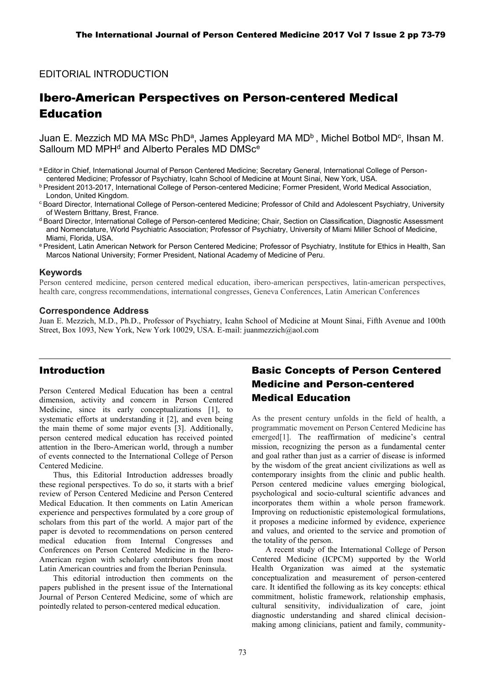## EDITORIAL INTRODUCTION

# Ibero-American Perspectives on Person-centered Medical Education

Juan E. Mezzich MD MA MSc PhD<sup>a</sup>, James Appleyard MA MD<sup>b</sup>, Michel Botbol MD<sup>c</sup>, Ihsan M. Salloum MD MPH<sup>d</sup> and Alberto Perales MD DMSc<sup>e</sup>

- a Editor in Chief, International Journal of Person Centered Medicine; Secretary General, International College of Personcentered Medicine; Professor of Psychiatry, Icahn School of Medicine at Mount Sinai, New York, USA.
- b President 2013-2017, International College of Person-centered Medicine; Former President, World Medical Association, London, United Kingdom.
- <sup>c</sup> Board Director, International College of Person-centered Medicine; Professor of Child and Adolescent Psychiatry, University of Western Brittany, Brest, France.
- <sup>d</sup> Board Director, International College of Person-centered Medicine; Chair, Section on Classification, Diagnostic Assessment and Nomenclature, World Psychiatric Association; Professor of Psychiatry, University of Miami Miller School of Medicine, Miami, Florida, USA.
- e President, Latin American Network for Person Centered Medicine; Professor of Psychiatry, Institute for Ethics in Health, San Marcos National University; Former President, National Academy of Medicine of Peru.

#### **Keywords**

Person centered medicine, person centered medical education, ibero-american perspectives, latin-american perspectives, health care, congress recommendations, international congresses, Geneva Conferences, Latin American Conferences

#### **Correspondence Address**

Juan E. Mezzich, M.D., Ph.D., Professor of Psychiatry, Icahn School of Medicine at Mount Sinai, Fifth Avenue and 100th Street, Box 1093, New York, New York 10029, USA. E-mail[: juanmezzich@aol.com](mailto:juanmezzich@aol.com)

### Introduction

Person Centered Medical Education has been a central dimension, activity and concern in Person Centered Medicine, since its early conceptualizations [1], to systematic efforts at understanding it [2], and even being the main theme of some major events [3]. Additionally, person centered medical education has received pointed attention in the Ibero-American world, through a number of events connected to the International College of Person Centered Medicine.

Thus, this Editorial Introduction addresses broadly these regional perspectives. To do so, it starts with a brief review of Person Centered Medicine and Person Centered Medical Education. It then comments on Latin American experience and perspectives formulated by a core group of scholars from this part of the world. A major part of the paper is devoted to recommendations on person centered medical education from Internal Congresses and Conferences on Person Centered Medicine in the Ibero-American region with scholarly contributors from most Latin American countries and from the Iberian Peninsula.

This editorial introduction then comments on the papers published in the present issue of the International Journal of Person Centered Medicine, some of which are pointedly related to person-centered medical education.

# Basic Concepts of Person Centered Medicine and Person-centered Medical Education

As the present century unfolds in the field of health, a programmatic movement on Person Centered Medicine has emerged[1]. The reaffirmation of medicine's central mission, recognizing the person as a fundamental center and goal rather than just as a carrier of disease is informed by the wisdom of the great ancient civilizations as well as contemporary insights from the clinic and public health. Person centered medicine values emerging biological, psychological and socio-cultural scientific advances and incorporates them within a whole person framework. Improving on reductionistic epistemological formulations, it proposes a medicine informed by evidence, experience and values, and oriented to the service and promotion of the totality of the person.

A recent study of the International College of Person Centered Medicine (ICPCM) supported by the World Health Organization was aimed at the systematic conceptualization and measurement of person-centered care. It identified the following as its key concepts: ethical commitment, holistic framework, relationship emphasis, cultural sensitivity, individualization of care, joint diagnostic understanding and shared clinical decisionmaking among clinicians, patient and family, community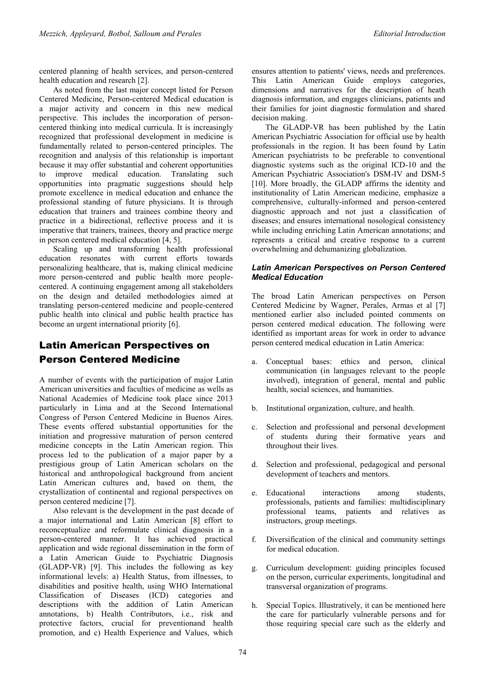centered planning of health services, and person-centered health education and research [2].

As noted from the last major concept listed for Person Centered Medicine, Person-centered Medical education is a major activity and concern in this new medical perspective. This includes the incorporation of personcentered thinking into medical curricula. It is increasingly recognized that professional development in medicine is fundamentally related to person-centered principles. The recognition and analysis of this relationship is important because it may offer substantial and coherent opportunities to improve medical education. Translating such opportunities into pragmatic suggestions should help promote excellence in medical education and enhance the professional standing of future physicians. It is through education that trainers and trainees combine theory and practice in a bidirectional, reflective process and it is imperative that trainers, trainees, theory and practice merge in person centered medical education [4, 5].

Scaling up and transforming health professional education resonates with current efforts towards personalizing healthcare, that is, making clinical medicine more person-centered and public health more peoplecentered. A continuing engagement among all stakeholders on the design and detailed methodologies aimed at translating person-centered medicine and people-centered public health into clinical and public health practice has become an urgent international priority [6].

# Latin American Perspectives on Person Centered Medicine

A number of events with the participation of major Latin American universities and faculties of medicine as wells as National Academies of Medicine took place since 2013 particularly in Lima and at the Second International Congress of Person Centered Medicine in Buenos Aires. These events offered substantial opportunities for the initiation and progressive maturation of person centered medicine concepts in the Latin American region. This process led to the publication of a major paper by a prestigious group of Latin American scholars on the historical and anthropological background from ancient Latin American cultures and, based on them, the crystallization of continental and regional perspectives on person centered medicine [7].

Also relevant is the development in the past decade of a major international and Latin American [8] effort to reconceptualize and reformulate clinical diagnosis in a person-centered manner. It has achieved practical application and wide regional dissemination in the form of a Latin American Guide to Psychiatric Diagnosis (GLADP-VR) [9]. This includes the following as key informational levels: a) Health Status, from illnesses, to disabilities and positive health, using WHO International Classification of Diseases (ICD) categories and descriptions with the addition of Latin American annotations, b) Health Contributors, i.e., risk and protective factors, crucial for preventionand health promotion, and c) Health Experience and Values, which

ensures attention to patients' views, needs and preferences. This Latin American Guide employs categories, dimensions and narratives for the description of heath diagnosis information, and engages clinicians, patients and their families for joint diagnostic formulation and shared decision making.

The GLADP-VR has been published by the Latin American Psychiatric Association for official use by health professionals in the region. It has been found by Latin American psychiatrists to be preferable to conventional diagnostic systems such as the original ICD-10 and the American Psychiatric Association's DSM-IV and DSM-5 [10]. More broadly, the GLADP affirms the identity and institutionality of Latin American medicine, emphasize a comprehensive, culturally-informed and person-centered diagnostic approach and not just a classification of diseases; and ensures international nosological consistency while including enriching Latin American annotations; and represents a critical and creative response to a current overwhelming and dehumanizing globalization.

#### *Latin American Perspectives on Person Centered Medical Education*

The broad Latin American perspectives on Person Centered Medicine by Wagner, Perales, Armas et al [7] mentioned earlier also included pointed comments on person centered medical education. The following were identified as important areas for work in order to advance person centered medical education in Latin America:

- a. Conceptual bases: ethics and person, clinical communication (in languages relevant to the people involved), integration of general, mental and public health, social sciences, and humanities.
- b. Institutional organization, culture, and health.
- c. Selection and professional and personal development of students during their formative years and throughout their lives.
- d. Selection and professional, pedagogical and personal development of teachers and mentors.
- e. Educational interactions among students, professionals, patients and families: multidisciplinary professional teams, patients and relatives as instructors, group meetings.
- Diversification of the clinical and community settings for medical education.
- g. Curriculum development: guiding principles focused on the person, curricular experiments, longitudinal and transversal organization of programs.
- h. Special Topics. Illustratively, it can be mentioned here the care for particularly vulnerable persons and for those requiring special care such as the elderly and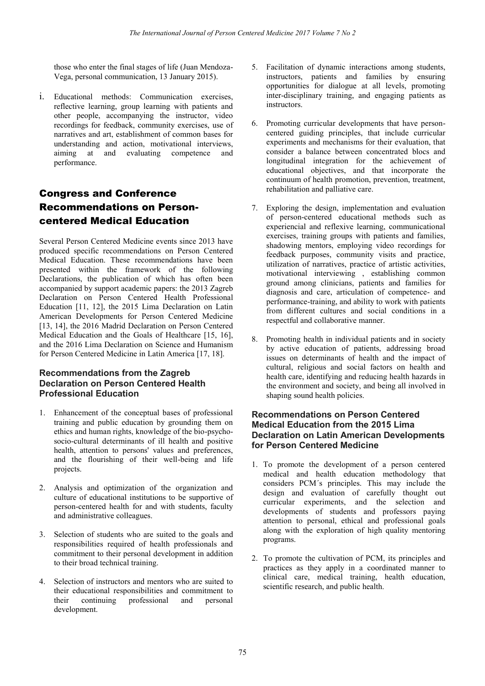those who enter the final stages of life (Juan Mendoza-Vega, personal communication, 13 January 2015).

i. Educational methods: Communication exercises, reflective learning, group learning with patients and other people, accompanying the instructor, video recordings for feedback, community exercises, use of narratives and art, establishment of common bases for understanding and action, motivational interviews, aiming at and evaluating competence and performance.

# Congress and Conference Recommendations on Personcentered Medical Education

Several Person Centered Medicine events since 2013 have produced specific recommendations on Person Centered Medical Education. These recommendations have been presented within the framework of the following Declarations, the publication of which has often been accompanied by support academic papers: the 2013 Zagreb Declaration on Person Centered Health Professional Education [11, 12], the 2015 Lima Declaration on Latin American Developments for Person Centered Medicine [13, 14], the 2016 Madrid Declaration on Person Centered Medical Education and the Goals of Healthcare [15, 16], and the 2016 Lima Declaration on Science and Humanism for Person Centered Medicine in Latin America [17, 18].

### **Recommendations from the Zagreb Declaration on Person Centered Health Professional Education**

- 1. Enhancement of the conceptual bases of professional training and public education by grounding them on ethics and human rights, knowledge of the bio-psychosocio-cultural determinants of ill health and positive health, attention to persons' values and preferences, and the flourishing of their well-being and life projects.
- 2. Analysis and optimization of the organization and culture of educational institutions to be supportive of person-centered health for and with students, faculty and administrative colleagues.
- 3. Selection of students who are suited to the goals and responsibilities required of health professionals and commitment to their personal development in addition to their broad technical training.
- 4. Selection of instructors and mentors who are suited to their educational responsibilities and commitment to their continuing professional and personal development.
- 5. Facilitation of dynamic interactions among students, instructors, patients and families by ensuring opportunities for dialogue at all levels, promoting inter-disciplinary training, and engaging patients as instructors.
- 6. Promoting curricular developments that have personcentered guiding principles, that include curricular experiments and mechanisms for their evaluation, that consider a balance between concentrated blocs and longitudinal integration for the achievement of educational objectives, and that incorporate the continuum of health promotion, prevention, treatment, rehabilitation and palliative care.
- 7. Exploring the design, implementation and evaluation of person-centered educational methods such as experiencial and reflexive learning, communicational exercises, training groups with patients and families, shadowing mentors, employing video recordings for feedback purposes, community visits and practice, utilization of narratives, practice of artistic activities, motivational interviewing , establishing common ground among clinicians, patients and families for diagnosis and care, articulation of competence- and performance-training, and ability to work with patients from different cultures and social conditions in a respectful and collaborative manner.
- 8. Promoting health in individual patients and in society by active education of patients, addressing broad issues on determinants of health and the impact of cultural, religious and social factors on health and health care, identifying and reducing health hazards in the environment and society, and being all involved in shaping sound health policies.

### **Recommendations on Person Centered Medical Education from the 2015 Lima Declaration on Latin American Developments for Person Centered Medicine**

- 1. To promote the development of a person centered medical and health education methodology that considers PCM´s principles. This may include the design and evaluation of carefully thought out curricular experiments, and the selection and developments of students and professors paying attention to personal, ethical and professional goals along with the exploration of high quality mentoring programs.
- 2. To promote the cultivation of PCM, its principles and practices as they apply in a coordinated manner to clinical care, medical training, health education, scientific research, and public health.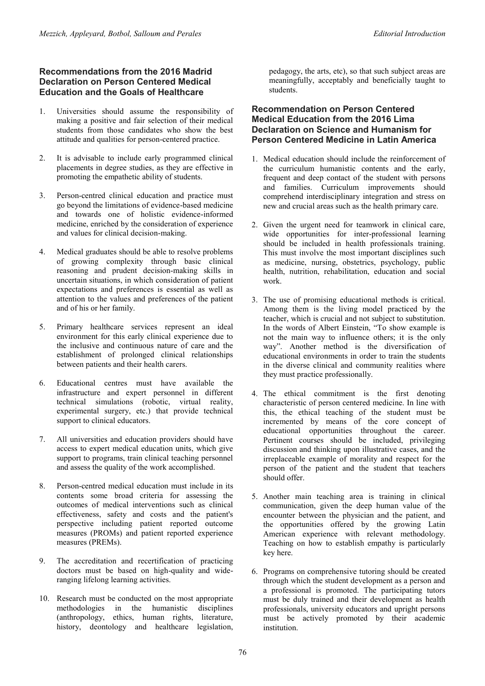### **Recommendations from the 2016 Madrid Declaration on Person Centered Medical Education and the Goals of Healthcare**

- 1. Universities should assume the responsibility of making a positive and fair selection of their medical students from those candidates who show the best attitude and qualities for person-centered practice.
- 2. It is advisable to include early programmed clinical placements in degree studies, as they are effective in promoting the empathetic ability of students.
- 3. Person-centred clinical education and practice must go beyond the limitations of evidence-based medicine and towards one of holistic evidence-informed medicine, enriched by the consideration of experience and values for clinical decision-making.
- 4. Medical graduates should be able to resolve problems of growing complexity through basic clinical reasoning and prudent decision-making skills in uncertain situations, in which consideration of patient expectations and preferences is essential as well as attention to the values and preferences of the patient and of his or her family.
- 5. Primary healthcare services represent an ideal environment for this early clinical experience due to the inclusive and continuous nature of care and the establishment of prolonged clinical relationships between patients and their health carers.
- 6. Educational centres must have available the infrastructure and expert personnel in different technical simulations (robotic, virtual reality, experimental surgery, etc.) that provide technical support to clinical educators.
- 7. All universities and education providers should have access to expert medical education units, which give support to programs, train clinical teaching personnel and assess the quality of the work accomplished.
- 8. Person-centred medical education must include in its contents some broad criteria for assessing the outcomes of medical interventions such as clinical effectiveness, safety and costs and the patient's perspective including patient reported outcome measures (PROMs) and patient reported experience measures (PREMs).
- 9. The accreditation and recertification of practicing doctors must be based on high-quality and wideranging lifelong learning activities.
- 10. Research must be conducted on the most appropriate methodologies in the humanistic disciplines (anthropology, ethics, human rights, literature, history, deontology and healthcare legislation,

pedagogy, the arts, etc), so that such subject areas are meaningfully, acceptably and beneficially taught to students.

#### **Recommendation on Person Centered Medical Education from the 2016 Lima Declaration on Science and Humanism for Person Centered Medicine in Latin America**

- 1. Medical education should include the reinforcement of the curriculum humanistic contents and the early, frequent and deep contact of the student with persons and families. Curriculum improvements should comprehend interdisciplinary integration and stress on new and crucial areas such as the health primary care.
- 2. Given the urgent need for teamwork in clinical care, wide opportunities for inter-professional learning should be included in health professionals training. This must involve the most important disciplines such as medicine, nursing, obstetrics, psychology, public health, nutrition, rehabilitation, education and social work.
- 3. The use of promising educational methods is critical. Among them is the living model practiced by the teacher, which is crucial and not subject to substitution. In the words of Albert Einstein, "To show example is not the main way to influence others; it is the only way". Another method is the diversification of educational environments in order to train the students in the diverse clinical and community realities where they must practice professionally.
- 4. The ethical commitment is the first denoting characteristic of person centered medicine. In line with this, the ethical teaching of the student must be incremented by means of the core concept of educational opportunities throughout the career. Pertinent courses should be included, privileging discussion and thinking upon illustrative cases, and the irreplaceable example of morality and respect for the person of the patient and the student that teachers should offer.
- 5. Another main teaching area is training in clinical communication, given the deep human value of the encounter between the physician and the patient, and the opportunities offered by the growing Latin American experience with relevant methodology. Teaching on how to establish empathy is particularly key here.
- 6. Programs on comprehensive tutoring should be created through which the student development as a person and a professional is promoted. The participating tutors must be duly trained and their development as health professionals, university educators and upright persons must be actively promoted by their academic institution.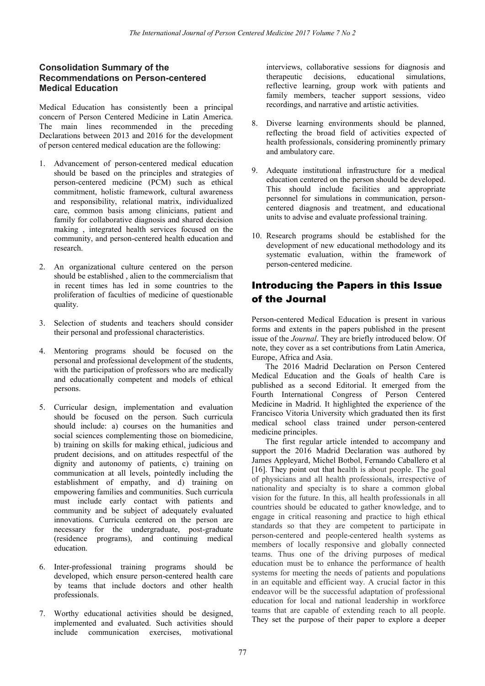### **Consolidation Summary of the Recommendations on Person-centered Medical Education**

Medical Education has consistently been a principal concern of Person Centered Medicine in Latin America. The main lines recommended in the preceding Declarations between 2013 and 2016 for the development of person centered medical education are the following:

- 1. Advancement of person-centered medical education should be based on the principles and strategies of person-centered medicine (PCM) such as ethical commitment, holistic framework, cultural awareness and responsibility, relational matrix, individualized care, common basis among clinicians, patient and family for collaborative diagnosis and shared decision making , integrated health services focused on the community, and person-centered health education and research.
- 2. An organizational culture centered on the person should be established , alien to the commercialism that in recent times has led in some countries to the proliferation of faculties of medicine of questionable quality.
- 3. Selection of students and teachers should consider their personal and professional characteristics.
- 4. Mentoring programs should be focused on the personal and professional development of the students, with the participation of professors who are medically and educationally competent and models of ethical persons.
- 5. Curricular design, implementation and evaluation should be focused on the person. Such curricula should include: a) courses on the humanities and social sciences complementing those on biomedicine, b) training on skills for making ethical, judicious and prudent decisions, and on attitudes respectful of the dignity and autonomy of patients, c) training on communication at all levels, pointedly including the establishment of empathy, and d) training on empowering families and communities. Such curricula must include early contact with patients and community and be subject of adequately evaluated innovations. Curricula centered on the person are necessary for the undergraduate, post-graduate (residence programs), and continuing medical education.
- 6. Inter-professional training programs should be developed, which ensure person-centered health care by teams that include doctors and other health professionals.
- 7. Worthy educational activities should be designed, implemented and evaluated. Such activities should include communication exercises, motivational

interviews, collaborative sessions for diagnosis and therapeutic decisions, educational simulations, reflective learning, group work with patients and family members, teacher support sessions, video recordings, and narrative and artistic activities.

- 8. Diverse learning environments should be planned, reflecting the broad field of activities expected of health professionals, considering prominently primary and ambulatory care.
- 9. Adequate institutional infrastructure for a medical education centered on the person should be developed. This should include facilities and appropriate personnel for simulations in communication, personcentered diagnosis and treatment, and educational units to advise and evaluate professional training.
- 10. Research programs should be established for the development of new educational methodology and its systematic evaluation, within the framework of person-centered medicine.

## Introducing the Papers in this Issue of the Journal

Person-centered Medical Education is present in various forms and extents in the papers published in the present issue of the *Journal*. They are briefly introduced below. Of note, they cover as a set contributions from Latin America, Europe, Africa and Asia.

The 2016 Madrid Declaration on Person Centered Medical Education and the Goals of health Care is published as a second Editorial. It emerged from the Fourth International Congress of Person Centered Medicine in Madrid. It highlighted the experience of the Francisco Vitoria University which graduated then its first medical school class trained under person-centered medicine principles.

The first regular article intended to accompany and support the 2016 Madrid Declaration was authored by James Appleyard, Michel Botbol, Fernando Caballero et al [16]. They point out that health is about people. The goal of physicians and all health professionals, irrespective of nationality and specialty is to share a common global vision for the future. In this, all health professionals in all countries should be educated to gather knowledge, and to engage in critical reasoning and practice to high ethical standards so that they are competent to participate in person-centered and people-centered health systems as members of locally responsive and globally connected teams. Thus one of the driving purposes of medical education must be to enhance the performance of health systems for meeting the needs of patients and populations in an equitable and efficient way. A crucial factor in this endeavor will be the successful adaptation of professional education for local and national leadership in workforce teams that are capable of extending reach to all people. They set the purpose of their paper to explore a deeper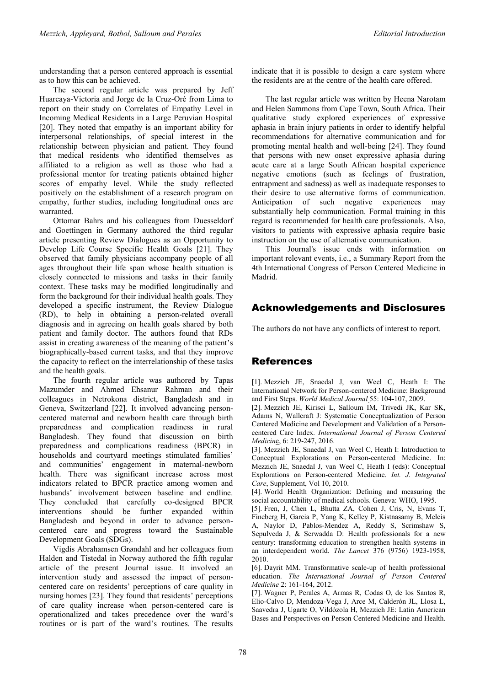understanding that a person centered approach is essential as to how this can be achieved.

The second regular article was prepared by Jeff Huarcaya-Victoria and Jorge de la Cruz-Oré from Lima to report on their study on Correlates of Empathy Level in Incoming Medical Residents in a Large Peruvian Hospital [20]. They noted that empathy is an important ability for interpersonal relationships, of special interest in the relationship between physician and patient. They found that medical residents who identified themselves as affiliated to a religion as well as those who had a professional mentor for treating patients obtained higher scores of empathy level. While the study reflected positively on the establishment of a research program on empathy, further studies, including longitudinal ones are warranted.

Ottomar Bahrs and his colleagues from Duesseldorf and Goettingen in Germany authored the third regular article presenting Review Dialogues as an Opportunity to Develop Life Course Specific Health Goals [21]. They observed that family physicians accompany people of all ages throughout their life span whose health situation is closely connected to missions and tasks in their family context. These tasks may be modified longitudinally and form the background for their individual health goals. They developed a specific instrument, the Review Dialogue (RD), to help in obtaining a person-related overall diagnosis and in agreeing on health goals shared by both patient and family doctor. The authors found that RDs assist in creating awareness of the meaning of the patient's biographically-based current tasks, and that they improve the capacity to reflect on the interrelationship of these tasks and the health goals.

The fourth regular article was authored by Tapas Mazumder and Ahmed Ehsanur Rahman and their colleagues in Netrokona district, Bangladesh and in Geneva, Switzerland [22]. It involved advancing personcentered maternal and newborn health care through birth preparedness and complication readiness in rural Bangladesh. They found that discussion on birth preparedness and complications readiness (BPCR) in households and courtyard meetings stimulated families' and communities' engagement in maternal-newborn health. There was significant increase across most indicators related to BPCR practice among women and husbands' involvement between baseline and endline. They concluded that carefully co-designed BPCR interventions should be further expanded within Bangladesh and beyond in order to advance personcentered care and progress toward the Sustainable Development Goals (SDGs).

Vigdis Abrahamsen Grøndahl and her colleagues from Halden and Tistedal in Norway authored the fifth regular article of the present Journal issue. It involved an intervention study and assessed the impact of personcentered care on residents' perceptions of care quality in nursing homes [23]. They found that residents' perceptions of care quality increase when person-centered care is operationalized and takes precedence over the ward's routines or is part of the ward's routines. The results

indicate that it is possible to design a care system where the residents are at the centre of the health care offered.

The last regular article was written by Heena Narotam and Helen Sammons from Cape Town, South Africa. Their qualitative study explored experiences of expressive aphasia in brain injury patients in order to identify helpful recommendations for alternative communication and for promoting mental health and well-being [24]. They found that persons with new onset expressive aphasia during acute care at a large South African hospital experience negative emotions (such as feelings of frustration, entrapment and sadness) as well as inadequate responses to their desire to use alternative forms of communication. Anticipation of such negative experiences may substantially help communication. Formal training in this regard is recommended for health care professionals. Also, visitors to patients with expressive aphasia require basic instruction on the use of alternative communication.

This Journal's issue ends with information on important relevant events, i.e., a Summary Report from the 4th International Congress of Person Centered Medicine in Madrid.

## Acknowledgements and Disclosures

The authors do not have any conflicts of interest to report.

## References

[1]. Mezzich JE, Snaedal J, van Weel C, Heath I: The International Network for Person-centered Medicine: Background and First Steps. *World Medical Journal* 55: 104-107, 2009.

[2]. Mezzich JE, Kirisci L, Salloum IM, Trivedi JK, Kar SK, Adams N, Wallcraft J: Systematic Conceptualization of Person Centered Medicine and Development and Validation of a Personcentered Care Index. *International Journal of Person Centered Medicin*e, 6: 219-247, 2016.

[3]. Mezzich JE, Snaedal J, van Weel C, Heath I: Introduction to Conceptual Explorations on Person-centered Medicine. In: Mezzich JE, Snaedal J, van Weel C, Heath I (eds): Conceptual Explorations on Person-centered Medicine. *Int. J. Integrated Care*, Supplement, Vol 10, 2010.

[4]. World Health Organization: Defining and measuring the social accountability of medical schools. Geneva: WHO, 1995.

[5]. Fren, J, Chen L, Bhutta ZA, Cohen J, Cris, N, Evans T, Fineberg H, Garcia P, Yang K, Kelley P, Kistnasamy B, Meleis A, Naylor D, Pablos-Mendez A, Reddy S, Scrimshaw S, Sepulveda J, & Serwadda D: Health professionals for a new century: transforming education to strengthen health systems in an interdependent world. *The Lancet* 376 (9756) 1923-1958, 2010.

[6]. Dayrit MM. Transformative scale-up of health professional education. *The International Journal of Person Centered Medicine* 2: 161-164, 2012.

[7]. Wagner P, Perales A, Armas R, Codas O, de los Santos R, Elio-Calvo D, Mendoza-Vega J, Arce M, Calderón JL, Llosa L, Saavedra J, Ugarte O, Vildózola H, Mezzich JE: Latin American Bases and Perspectives on Person Centered Medicine and Health.